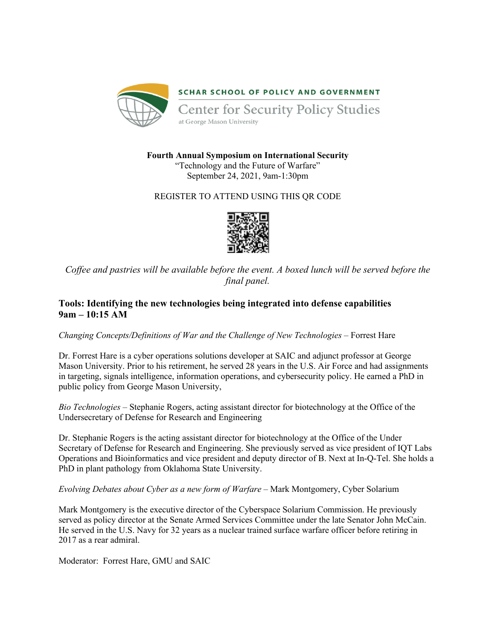

**Fourth Annual Symposium on International Security**

"Technology and the Future of Warfare" September 24, 2021, 9am-1:30pm

# REGISTER TO ATTEND USING THIS QR CODE



*Coffee and pastries will be available before the event. A boxed lunch will be served before the final panel.*

# **Tools: Identifying the new technologies being integrated into defense capabilities 9am – 10:15 AM**

*Changing Concepts/Definitions of War and the Challenge of New Technologies –* Forrest Hare

Dr. Forrest Hare is a cyber operations solutions developer at SAIC and adjunct professor at George Mason University. Prior to his retirement, he served 28 years in the U.S. Air Force and had assignments in targeting, signals intelligence, information operations, and cybersecurity policy. He earned a PhD in public policy from George Mason University,

*Bio Technologies* – Stephanie Rogers, acting assistant director for biotechnology at the Office of the Undersecretary of Defense for Research and Engineering

Dr. Stephanie Rogers is the acting assistant director for biotechnology at the Office of the Under Secretary of Defense for Research and Engineering. She previously served as vice president of IQT Labs Operations and Bioinformatics and vice president and deputy director of B. Next at In-Q-Tel. She holds a PhD in plant pathology from Oklahoma State University.

*Evolving Debates about Cyber as a new form of Warfare –* Mark Montgomery, Cyber Solarium

Mark Montgomery is the executive director of the Cyberspace Solarium Commission. He previously served as policy director at the Senate Armed Services Committee under the late Senator John McCain. He served in the U.S. Navy for 32 years as a nuclear trained surface warfare officer before retiring in 2017 as a rear admiral.

Moderator: Forrest Hare, GMU and SAIC